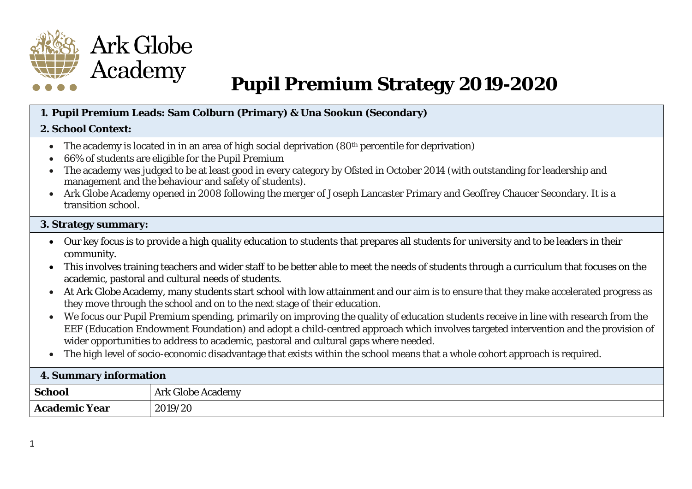

# **Pupil Premium Strategy 2019-2020**

#### **1. Pupil Premium Leads: Sam Colburn (Primary) & Una Sookun (Secondary)**

#### **2. School Context:**

- The academy is located in in an area of high social deprivation (80<sup>th</sup> percentile for deprivation)
- 66% of students are eligible for the Pupil Premium
- The academy was judged to be at least good in every category by Ofsted in October 2014 (with outstanding for leadership and management and the behaviour and safety of students).
- Ark Globe Academy opened in 2008 following the merger of Joseph Lancaster Primary and Geoffrey Chaucer Secondary. It is a transition school.

#### **3. Strategy summary:**

- Our key focus is to provide a high quality education to students that prepares all students for university and to be leaders in their community.
- This involves training teachers and wider staff to be better able to meet the needs of students through a curriculum that focuses on the academic, pastoral and cultural needs of students.
- At Ark Globe Academy, many students start school with low attainment and our aim is to ensure that they make accelerated progress as they move through the school and on to the next stage of their education.
- We focus our Pupil Premium spending, primarily on improving the quality of education students receive in line with research from the EEF (Education Endowment Foundation) and adopt a child-centred approach which involves targeted intervention and the provision of wider opportunities to address to academic, pastoral and cultural gaps where needed.
- The high level of socio-economic disadvantage that exists within the school means that a whole cohort approach is required.

| 4. Summary information |                          |  |  |
|------------------------|--------------------------|--|--|
| School                 | <b>Ark Globe Academy</b> |  |  |
| <b>Academic Year</b>   | 2019/20                  |  |  |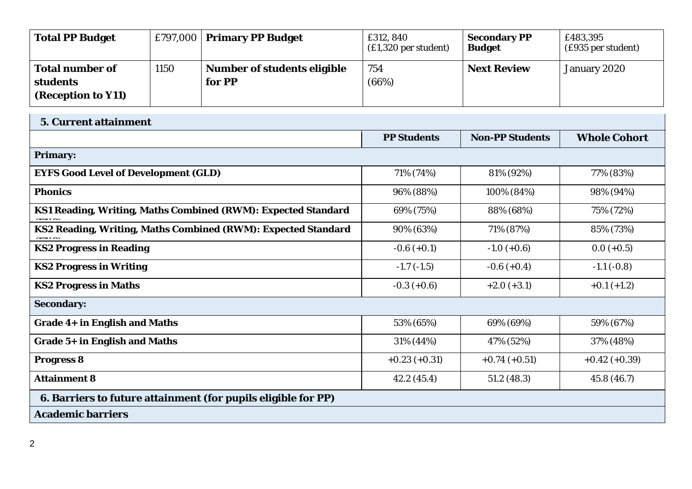| Total PP Budget        |      | $£797,000$ Primary PP Budget       | £312, 840<br>$£1,320$ per student) | <b>Secondary PP</b><br><b>Budget</b> | £483,395<br>(£935 per student) |
|------------------------|------|------------------------------------|------------------------------------|--------------------------------------|--------------------------------|
| <b>Total number of</b> | 1150 | <b>Number of students eligible</b> | 754                                | <b>Next Review</b>                   | January 2020                   |
| <b>students</b>        |      | for PP                             | (66%)                              |                                      |                                |
| (Reception to Y11)     |      |                                    |                                    |                                      |                                |

| <b>5. Current attainment</b>                                  |                    |                        |                     |  |  |  |
|---------------------------------------------------------------|--------------------|------------------------|---------------------|--|--|--|
|                                                               | <b>PP Students</b> | <b>Non-PP Students</b> | <b>Whole Cohort</b> |  |  |  |
| <b>Primary:</b>                                               |                    |                        |                     |  |  |  |
| <b>EYFS Good Level of Development (GLD)</b>                   | 71% (74%)          | 81% (92%)              | 77% (83%)           |  |  |  |
| <b>Phonics</b>                                                | 96% (88%)          | 100% (84%)             | 98% (94%)           |  |  |  |
| KS1 Reading, Writing, Maths Combined (RWM): Expected Standard | 69% (75%)          | 88% (68%)              | 75% (72%)           |  |  |  |
| KS2 Reading, Writing, Maths Combined (RWM): Expected Standard | 90% (63%)          | 71% (87%)              | 85% (73%)           |  |  |  |
| <b>KS2 Progress in Reading</b>                                | $-0.6 (+0.1)$      | $-1.0 (+0.6)$          | $0.0 (+0.5)$        |  |  |  |
| <b>KS2 Progress in Writing</b>                                | $-1.7(-1.5)$       | $-0.6 (+0.4)$          | $-1.1(-0.8)$        |  |  |  |
| <b>KS2 Progress in Maths</b>                                  | $-0.3 (+0.6)$      | $+2.0 (+3.1)$          | $+0.1 (+1.2)$       |  |  |  |
| <b>Secondary:</b>                                             |                    |                        |                     |  |  |  |
| Grade 4+ in English and Maths                                 | 53% (65%)          | 69% (69%)              | 59% (67%)           |  |  |  |
| Grade 5+ in English and Maths                                 | 31% (44%)          | 47% (52%)              | 37% (48%)           |  |  |  |
| <b>Progress 8</b>                                             | $+0.23(+0.31)$     | $+0.74(+0.51)$         | $+0.42 (+0.39)$     |  |  |  |
| <b>Attainment 8</b>                                           | 42.2(45.4)         | 51.2(48.3)             | 45.8 (46.7)         |  |  |  |
| 6. Barriers to future attainment (for pupils eligible for PP) |                    |                        |                     |  |  |  |
| <b>Academic barriers</b>                                      |                    |                        |                     |  |  |  |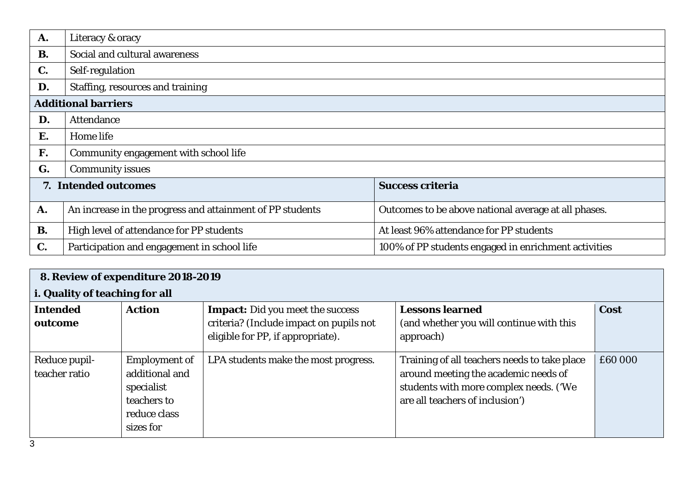| A.             | Literacy & oracy                                          |                                                      |
|----------------|-----------------------------------------------------------|------------------------------------------------------|
| <b>B.</b>      | Social and cultural awareness                             |                                                      |
| $\mathbf{C}$ . | Self-regulation                                           |                                                      |
| D.             | Staffing, resources and training                          |                                                      |
|                | <b>Additional barriers</b>                                |                                                      |
| D.             | <b>Attendance</b>                                         |                                                      |
| Е.             | Home life                                                 |                                                      |
| F.             | Community engagement with school life                     |                                                      |
| G.             | <b>Community issues</b>                                   |                                                      |
|                | 7. Intended outcomes                                      | <b>Success criteria</b>                              |
| A.             | An increase in the progress and attainment of PP students | Outcomes to be above national average at all phases. |
| <b>B.</b>      | High level of attendance for PP students                  | At least 96% attendance for PP students              |
| C.             | Participation and engagement in school life               | 100% of PP students engaged in enrichment activities |

| 8. Review of expenditure 2018-2019 |                                                                                                  |                                                                                                                         |                                                                                                                                                                   |         |  |  |
|------------------------------------|--------------------------------------------------------------------------------------------------|-------------------------------------------------------------------------------------------------------------------------|-------------------------------------------------------------------------------------------------------------------------------------------------------------------|---------|--|--|
|                                    | i. Quality of teaching for all                                                                   |                                                                                                                         |                                                                                                                                                                   |         |  |  |
| <b>Intended</b><br>outcome         | <b>Action</b>                                                                                    | <b>Impact:</b> Did you meet the success<br>criteria? (Include impact on pupils not<br>eligible for PP, if appropriate). | <b>Lessons learned</b><br>(and whether you will continue with this<br>approach)                                                                                   | Cost    |  |  |
| Reduce pupil-<br>teacher ratio     | <b>Employment of</b><br>additional and<br>specialist<br>teachers to<br>reduce class<br>sizes for | LPA students make the most progress.                                                                                    | Training of all teachers needs to take place<br>around meeting the academic needs of<br>students with more complex needs. ('We<br>are all teachers of inclusion') | £60 000 |  |  |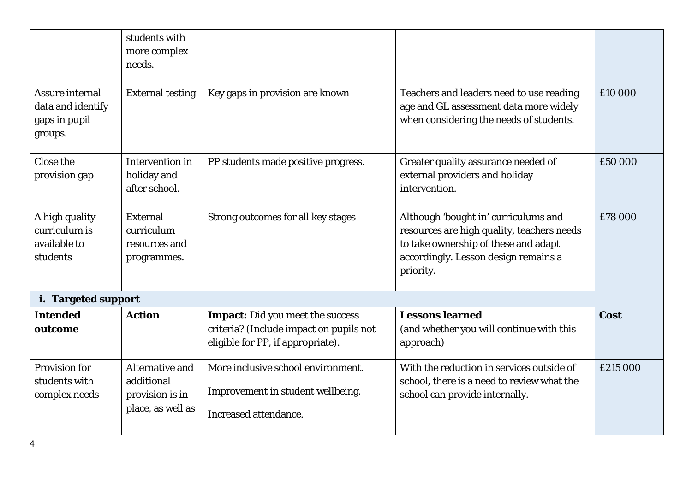|                                                                         | students with<br>more complex<br>needs.                               |                                                                                                                         |                                                                                                                                                                                 |             |
|-------------------------------------------------------------------------|-----------------------------------------------------------------------|-------------------------------------------------------------------------------------------------------------------------|---------------------------------------------------------------------------------------------------------------------------------------------------------------------------------|-------------|
| <b>Assure internal</b><br>data and identify<br>gaps in pupil<br>groups. | <b>External testing</b>                                               | Key gaps in provision are known                                                                                         | Teachers and leaders need to use reading<br>age and GL assessment data more widely<br>when considering the needs of students.                                                   | £10 000     |
| Close the<br>provision gap                                              | Intervention in<br>holiday and<br>after school.                       | PP students made positive progress.                                                                                     | Greater quality assurance needed of<br>external providers and holiday<br>intervention.                                                                                          | £50 000     |
| A high quality<br>curriculum is<br>available to<br>students             | <b>External</b><br>curriculum<br>resources and<br>programmes.         | Strong outcomes for all key stages                                                                                      | Although 'bought in' curriculums and<br>resources are high quality, teachers needs<br>to take ownership of these and adapt<br>accordingly. Lesson design remains a<br>priority. | £78 000     |
| i. Targeted support                                                     |                                                                       |                                                                                                                         |                                                                                                                                                                                 |             |
| <b>Intended</b><br>outcome                                              | <b>Action</b>                                                         | <b>Impact:</b> Did you meet the success<br>criteria? (Include impact on pupils not<br>eligible for PP, if appropriate). | <b>Lessons learned</b><br>(and whether you will continue with this<br>approach)                                                                                                 | <b>Cost</b> |
| <b>Provision for</b><br>students with<br>complex needs                  | Alternative and<br>additional<br>provision is in<br>place, as well as | More inclusive school environment.<br>Improvement in student wellbeing.<br><b>Increased attendance.</b>                 | With the reduction in services outside of<br>school, there is a need to review what the<br>school can provide internally.                                                       | £215 000    |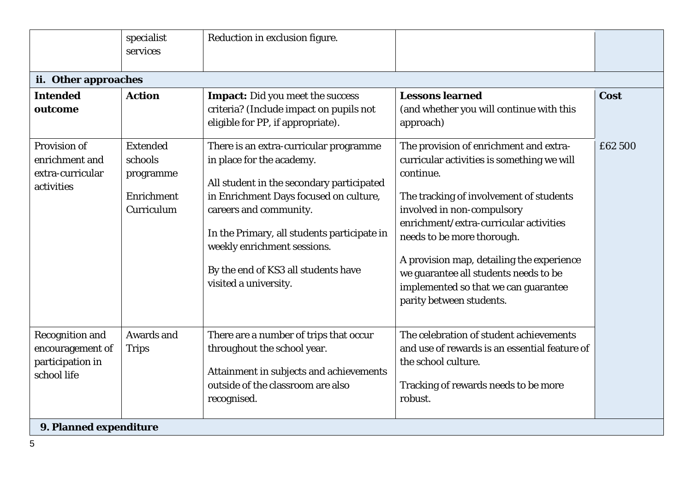|                                                                                                         | specialist<br>services                                              | Reduction in exclusion figure.                                                                                                                                                                                                                                                                                                     |                                                                                                                                                                                                                                                                                                                                                                                                              |         |
|---------------------------------------------------------------------------------------------------------|---------------------------------------------------------------------|------------------------------------------------------------------------------------------------------------------------------------------------------------------------------------------------------------------------------------------------------------------------------------------------------------------------------------|--------------------------------------------------------------------------------------------------------------------------------------------------------------------------------------------------------------------------------------------------------------------------------------------------------------------------------------------------------------------------------------------------------------|---------|
| ii. Other approaches                                                                                    |                                                                     |                                                                                                                                                                                                                                                                                                                                    |                                                                                                                                                                                                                                                                                                                                                                                                              |         |
| <b>Intended</b><br>outcome                                                                              | <b>Action</b>                                                       | <b>Impact:</b> Did you meet the success<br>criteria? (Include impact on pupils not<br>eligible for PP, if appropriate).                                                                                                                                                                                                            | <b>Lessons learned</b><br>(and whether you will continue with this<br>approach)                                                                                                                                                                                                                                                                                                                              | Cost    |
| Provision of<br>enrichment and<br>extra-curricular<br>activities                                        | <b>Extended</b><br>schools<br>programme<br>Enrichment<br>Curriculum | There is an extra-curricular programme<br>in place for the academy.<br>All student in the secondary participated<br>in Enrichment Days focused on culture,<br>careers and community.<br>In the Primary, all students participate in<br>weekly enrichment sessions.<br>By the end of KS3 all students have<br>visited a university. | The provision of enrichment and extra-<br>curricular activities is something we will<br>continue.<br>The tracking of involvement of students<br>involved in non-compulsory<br>enrichment/extra-curricular activities<br>needs to be more thorough.<br>A provision map, detailing the experience<br>we guarantee all students needs to be<br>implemented so that we can guarantee<br>parity between students. | £62 500 |
| <b>Recognition and</b><br>encouragement of<br>participation in<br>school life<br>9. Planned expenditure | Awards and<br><b>Trips</b>                                          | There are a number of trips that occur<br>throughout the school year.<br>Attainment in subjects and achievements<br>outside of the classroom are also<br>recognised.                                                                                                                                                               | The celebration of student achievements<br>and use of rewards is an essential feature of<br>the school culture.<br>Tracking of rewards needs to be more<br>robust.                                                                                                                                                                                                                                           |         |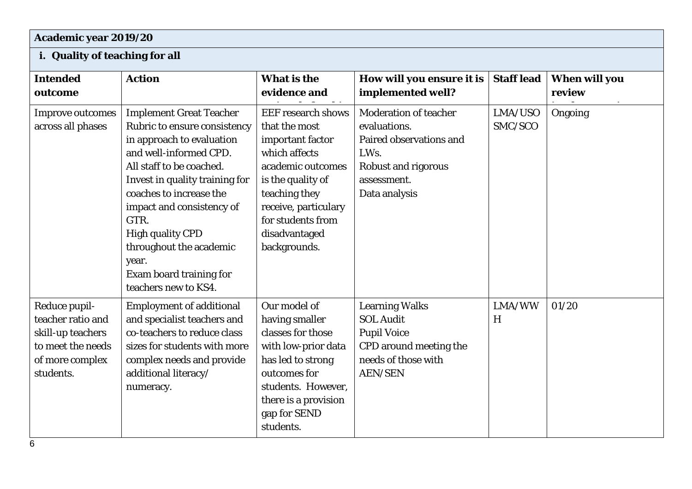## **Academic year 2019/20**

### **i. Quality of teaching for all**

| <b>Intended</b><br>outcome                                                                                   | <b>Action</b>                                                                                                                                                                                                                                                                                                                                                         | What is the<br>evidence and                                                                                                                                                                                              | How will you ensure it is<br>implemented well?                                                                                                | <b>Staff lead</b>  | <b>When will you</b><br>review |
|--------------------------------------------------------------------------------------------------------------|-----------------------------------------------------------------------------------------------------------------------------------------------------------------------------------------------------------------------------------------------------------------------------------------------------------------------------------------------------------------------|--------------------------------------------------------------------------------------------------------------------------------------------------------------------------------------------------------------------------|-----------------------------------------------------------------------------------------------------------------------------------------------|--------------------|--------------------------------|
| <b>Improve outcomes</b><br>across all phases                                                                 | <b>Implement Great Teacher</b><br>Rubric to ensure consistency<br>in approach to evaluation<br>and well-informed CPD.<br>All staff to be coached.<br>Invest in quality training for<br>coaches to increase the<br>impact and consistency of<br>GTR.<br><b>High quality CPD</b><br>throughout the academic<br>year.<br>Exam board training for<br>teachers new to KS4. | <b>EEF</b> research shows<br>that the most<br>important factor<br>which affects<br>academic outcomes<br>is the quality of<br>teaching they<br>receive, particulary<br>for students from<br>disadvantaged<br>backgrounds. | <b>Moderation of teacher</b><br>evaluations.<br>Paired observations and<br>LWs.<br><b>Robust and rigorous</b><br>assessment.<br>Data analysis | LMA/USO<br>SMC/SCO | Ongoing                        |
| Reduce pupil-<br>teacher ratio and<br>skill-up teachers<br>to meet the needs<br>of more complex<br>students. | <b>Employment of additional</b><br>and specialist teachers and<br>co-teachers to reduce class<br>sizes for students with more<br>complex needs and provide<br>additional literacy/<br>numeracy.                                                                                                                                                                       | Our model of<br>having smaller<br>classes for those<br>with low-prior data<br>has led to strong<br>outcomes for<br>students. However,<br>there is a provision<br>gap for SEND<br>students.                               | <b>Learning Walks</b><br><b>SOL Audit</b><br><b>Pupil Voice</b><br>CPD around meeting the<br>needs of those with<br><b>AEN/SEN</b>            | LMA/WW<br>H        | 01/20                          |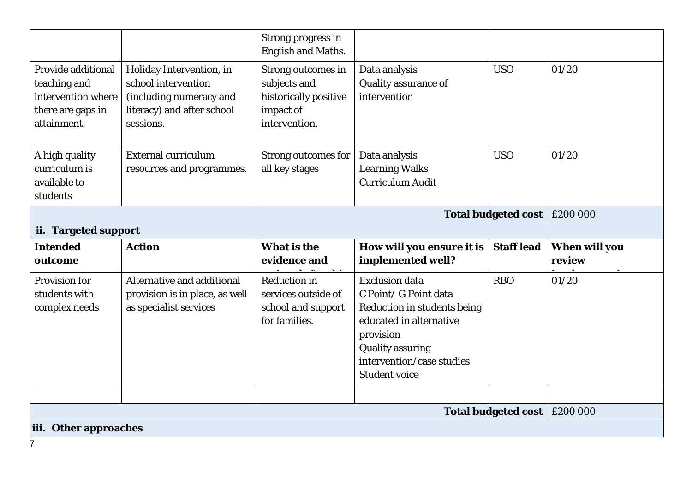|                                                                                              |                                                                                                                       | <b>Strong progress in</b><br><b>English and Maths.</b>                                           |                                                                                                                                                                                                       |                            |                                |
|----------------------------------------------------------------------------------------------|-----------------------------------------------------------------------------------------------------------------------|--------------------------------------------------------------------------------------------------|-------------------------------------------------------------------------------------------------------------------------------------------------------------------------------------------------------|----------------------------|--------------------------------|
| Provide additional<br>teaching and<br>intervention where<br>there are gaps in<br>attainment. | Holiday Intervention, in<br>school intervention<br>(including numeracy and<br>literacy) and after school<br>sessions. | <b>Strong outcomes in</b><br>subjects and<br>historically positive<br>impact of<br>intervention. | Data analysis<br>Quality assurance of<br>intervention                                                                                                                                                 | <b>USO</b>                 | 01/20                          |
| A high quality<br>curriculum is<br>available to<br>students                                  | <b>External curriculum</b><br>resources and programmes.                                                               | <b>Strong outcomes for</b><br>all key stages                                                     | Data analysis<br><b>Learning Walks</b><br><b>Curriculum Audit</b>                                                                                                                                     | <b>USO</b>                 | 01/20                          |
|                                                                                              | £200 000<br><b>Total budgeted cost</b>                                                                                |                                                                                                  |                                                                                                                                                                                                       |                            |                                |
| ii. Targeted support                                                                         |                                                                                                                       |                                                                                                  |                                                                                                                                                                                                       |                            |                                |
|                                                                                              |                                                                                                                       |                                                                                                  |                                                                                                                                                                                                       |                            |                                |
| <b>Intended</b><br>outcome                                                                   | <b>Action</b>                                                                                                         | <b>What is the</b><br>evidence and                                                               | How will you ensure it is<br>implemented well?                                                                                                                                                        | <b>Staff lead</b>          | <b>When will you</b><br>review |
| <b>Provision for</b><br>students with<br>complex needs                                       | Alternative and additional<br>provision is in place, as well<br>as specialist services                                | <b>Reduction in</b><br>services outside of<br>school and support<br>for families.                | <b>Exclusion data</b><br>C Point/ G Point data<br>Reduction in students being<br>educated in alternative<br>provision<br><b>Quality assuring</b><br>intervention/case studies<br><b>Student voice</b> | <b>RBO</b>                 | 01/20                          |
|                                                                                              |                                                                                                                       |                                                                                                  |                                                                                                                                                                                                       | <b>Total budgeted cost</b> | £200 000                       |